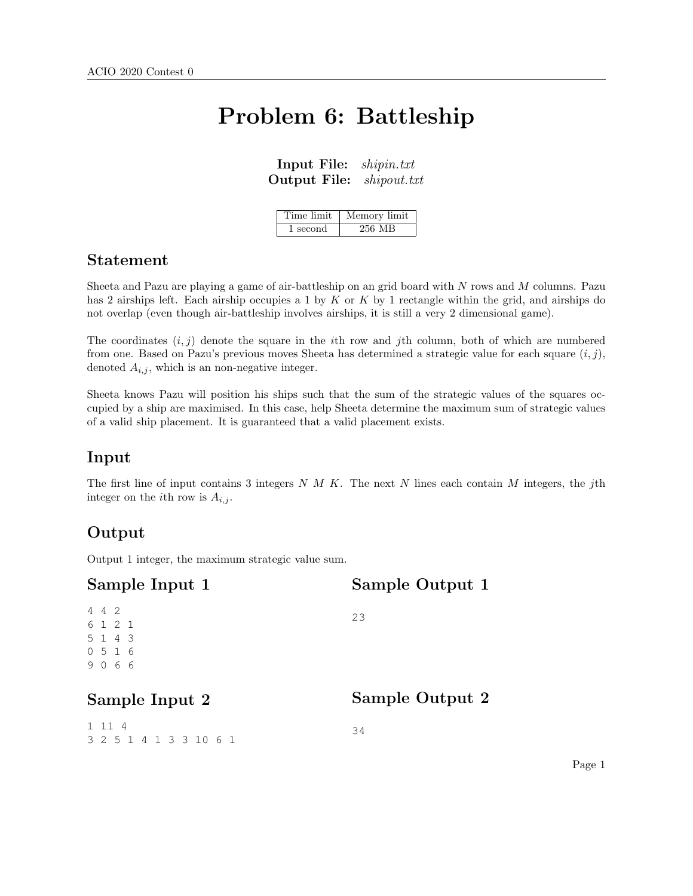# Problem 6: Battleship

| Input File:         | shipin.txt             |
|---------------------|------------------------|
| <b>Output File:</b> | $\mathit{shipout.txt}$ |

| Time limit | Memory limit |
|------------|--------------|
| 1 second   | 256 MB       |

#### Statement

Sheeta and Pazu are playing a game of air-battleship on an grid board with N rows and M columns. Pazu has 2 airships left. Each airship occupies a 1 by  $K$  or  $K$  by 1 rectangle within the grid, and airships do not overlap (even though air-battleship involves airships, it is still a very 2 dimensional game).

The coordinates  $(i, j)$  denote the square in the *i*th row and *j*th column, both of which are numbered from one. Based on Pazu's previous moves Sheeta has determined a strategic value for each square  $(i, j)$ , denoted  $A_{i,j}$ , which is an non-negative integer.

Sheeta knows Pazu will position his ships such that the sum of the strategic values of the squares occupied by a ship are maximised. In this case, help Sheeta determine the maximum sum of strategic values of a valid ship placement. It is guaranteed that a valid placement exists.

### Input

The first line of input contains 3 integers  $N$  M K. The next N lines each contain M integers, the jth integer on the *i*th row is  $A_{i,j}$ .

### Output

Output 1 integer, the maximum strategic value sum.

| Sample Input 1                            | Sample Output 1 |
|-------------------------------------------|-----------------|
| 442<br>6 1 2 1<br>5 1 4 3<br>0516<br>9066 | 23              |
| Sample Input 2                            | Sample Output 2 |
| 1 1 1 4<br>3 2 5 1 4 1 3 3 10 6 1         | 34              |

Page 1